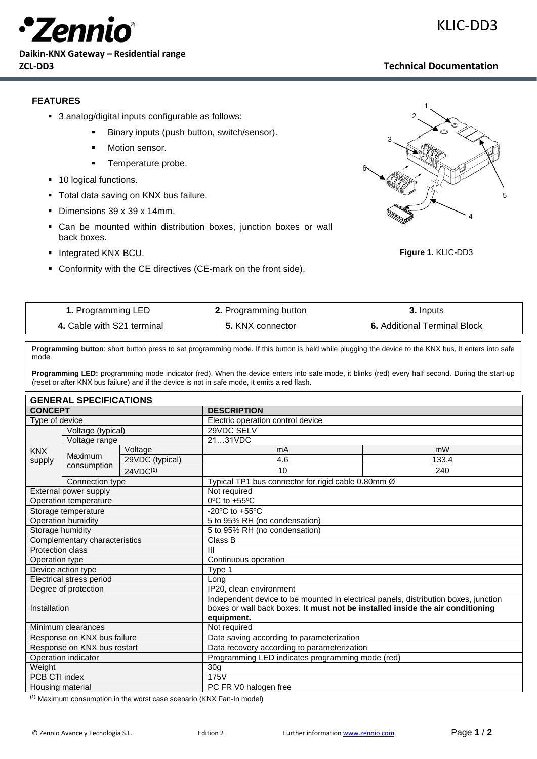

**Daikin-KNX Gateway – Residential range ZCL-DD3 Technical Documentation**

## KLIC-DD3

## **FEATURES**

- 3 analog/digital inputs configurable as follows:
	- Binary inputs (push button, switch/sensor).
	- Motion sensor.
	- **•** Temperature probe.
- 10 logical functions.
- **Total data saving on KNX bus failure.**
- Dimensions 39 x 39 x 14mm.
- Can be mounted within distribution boxes, junction boxes or wall back boxes.
- Integrated KNX BCU.
- Conformity with the CE directives (CE-mark on the front side).



**Figure 1.** KLIC-DD3

| 1. Programming LED         | <b>2.</b> Programming button | 3. Inputs                           |  |
|----------------------------|------------------------------|-------------------------------------|--|
| 4. Cable with S21 terminal | 5. KNX connector             | <b>6.</b> Additional Terminal Block |  |

**Programming button**: short button press to set programming mode. If this button is held while plugging the device to the KNX bus, it enters into safe mode.

**Programming LED:** programming mode indicator (red). When the device enters into safe mode, it blinks (red) every half second. During the start-up (reset or after KNX bus failure) and if the device is not in safe mode, it emits a red flash.

| <b>GENERAL SPECIFICATIONS</b>   |                           |                      |                                                                                     |       |  |  |
|---------------------------------|---------------------------|----------------------|-------------------------------------------------------------------------------------|-------|--|--|
| <b>CONCEPT</b>                  |                           |                      | <b>DESCRIPTION</b>                                                                  |       |  |  |
| Type of device                  |                           |                      | Electric operation control device                                                   |       |  |  |
| Voltage (typical)               |                           |                      | 29VDC SELV                                                                          |       |  |  |
|                                 | Voltage range             |                      | 2131VDC                                                                             |       |  |  |
| <b>KNX</b>                      |                           | Voltage              | mA                                                                                  | mW    |  |  |
| supply                          | Maximum                   | 29VDC (typical)      | 4.6                                                                                 | 133.4 |  |  |
|                                 | consumption               | 24VDC <sup>(1)</sup> | 10                                                                                  | 240   |  |  |
|                                 | Connection type           |                      | Typical TP1 bus connector for rigid cable 0.80mm Ø                                  |       |  |  |
| External power supply           |                           |                      | Not required                                                                        |       |  |  |
| Operation temperature           |                           |                      | $0^{\circ}$ C to +55 $^{\circ}$ C                                                   |       |  |  |
| Storage temperature             |                           |                      | -20 $^{\circ}$ C to +55 $^{\circ}$ C                                                |       |  |  |
|                                 | <b>Operation humidity</b> |                      | 5 to 95% RH (no condensation)                                                       |       |  |  |
| Storage humidity                |                           |                      | 5 to 95% RH (no condensation)                                                       |       |  |  |
| Complementary characteristics   |                           |                      | Class B                                                                             |       |  |  |
| <b>Protection class</b>         |                           |                      | Ш                                                                                   |       |  |  |
| Operation type                  |                           |                      | Continuous operation                                                                |       |  |  |
| Device action type              |                           |                      | Type 1                                                                              |       |  |  |
| <b>Electrical stress period</b> |                           |                      | Long                                                                                |       |  |  |
| Degree of protection            |                           |                      | IP20, clean environment                                                             |       |  |  |
| Installation                    |                           |                      | Independent device to be mounted in electrical panels, distribution boxes, junction |       |  |  |
|                                 |                           |                      | boxes or wall back boxes. It must not be installed inside the air conditioning      |       |  |  |
|                                 |                           |                      | equipment.                                                                          |       |  |  |
| Minimum clearances              |                           |                      | Not required                                                                        |       |  |  |
| Response on KNX bus failure     |                           |                      | Data saving according to parameterization                                           |       |  |  |
| Response on KNX bus restart     |                           |                      | Data recovery according to parameterization                                         |       |  |  |
| Operation indicator             |                           |                      | Programming LED indicates programming mode (red)                                    |       |  |  |
| Weight                          |                           |                      | 30 <sub>g</sub>                                                                     |       |  |  |
| PCB CTI index                   |                           |                      | 175V                                                                                |       |  |  |
| Housing material                |                           |                      | PC FR V0 halogen free                                                               |       |  |  |

**(1)** Maximum consumption in the worst case scenario (KNX Fan-In model)